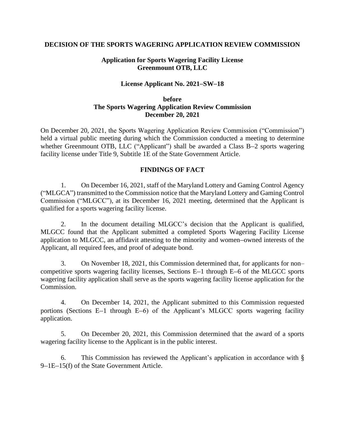### **DECISION OF THE SPORTS WAGERING APPLICATION REVIEW COMMISSION**

# **Application for Sports Wagering Facility License Greenmount OTB, LLC**

# **License Applicant No. 2021–SW–18**

#### **before The Sports Wagering Application Review Commission December 20, 2021**

On December 20, 2021, the Sports Wagering Application Review Commission ("Commission") held a virtual public meeting during which the Commission conducted a meeting to determine whether Greenmount OTB, LLC ("Applicant") shall be awarded a Class B-2 sports wagering facility license under Title 9, Subtitle 1E of the State Government Article.

### **FINDINGS OF FACT**

1. On December 16, 2021, staff of the Maryland Lottery and Gaming Control Agency ("MLGCA") transmitted to the Commission notice that the Maryland Lottery and Gaming Control Commission ("MLGCC"), at its December 16, 2021 meeting, determined that the Applicant is qualified for a sports wagering facility license.

2. In the document detailing MLGCC's decision that the Applicant is qualified, MLGCC found that the Applicant submitted a completed Sports Wagering Facility License application to MLGCC, an affidavit attesting to the minority and women–owned interests of the Applicant, all required fees, and proof of adequate bond.

3. On November 18, 2021, this Commission determined that, for applicants for non– competitive sports wagering facility licenses, Sections E–1 through E–6 of the MLGCC sports wagering facility application shall serve as the sports wagering facility license application for the Commission.

4. On December 14, 2021, the Applicant submitted to this Commission requested portions (Sections E–1 through E–6) of the Applicant's MLGCC sports wagering facility application.

5. On December 20, 2021, this Commission determined that the award of a sports wagering facility license to the Applicant is in the public interest.

6. This Commission has reviewed the Applicant's application in accordance with § 9–1E–15(f) of the State Government Article.